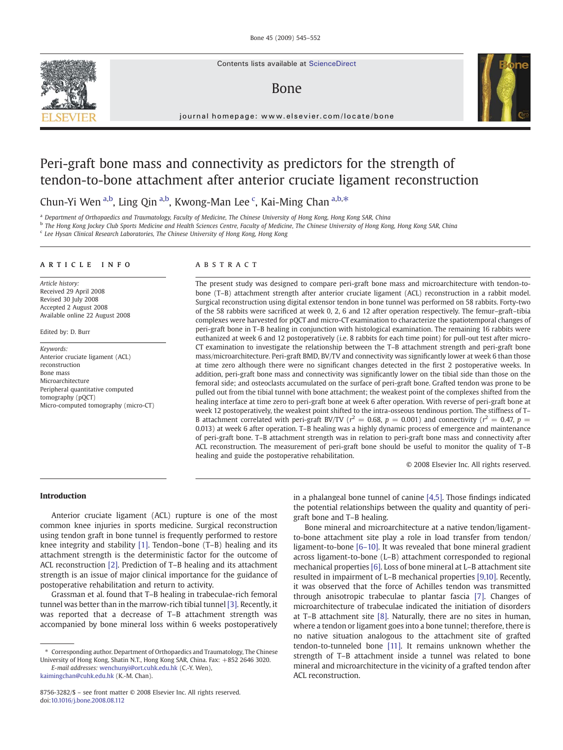Contents lists available at ScienceDirect

# Bone



journal homepage: www.elsevier.com/locate/bone

# Peri-graft bone mass and connectivity as predictors for the strength of tendon-to-bone attachment after anterior cruciate ligament reconstruction

Chun-Yi Wen a,b, Ling Qin a,b, Kwong-Man Lee <sup>c</sup>, Kai-Ming Chan a,b,\*

<sup>a</sup> Department of Orthopaedics and Traumatology, Faculty of Medicine, The Chinese University of Hong Kong, Hong Kong SAR, China

<sup>b</sup> The Hong Kong Jockey Club Sports Medicine and Health Sciences Centre, Faculty of Medicine, The Chinese University of Hong Kong, Hong Kong SAR, China

<sup>c</sup> Lee Hysan Clinical Research Laboratories, The Chinese University of Hong Kong, Hong Kong

## article info abstract

Article history: Received 29 April 2008 Revised 30 July 2008 Accepted 2 August 2008 Available online 22 August 2008

Edited by: D. Burr

Keywords: Anterior cruciate ligament (ACL) reconstruction Bone mass Microarchitecture Peripheral quantitative computed tomography (pQCT) Micro-computed tomography (micro-CT)

The present study was designed to compare peri-graft bone mass and microarchitecture with tendon-tobone (T–B) attachment strength after anterior cruciate ligament (ACL) reconstruction in a rabbit model. Surgical reconstruction using digital extensor tendon in bone tunnel was performed on 58 rabbits. Forty-two of the 58 rabbits were sacrificed at week 0, 2, 6 and 12 after operation respectively. The femur–graft–tibia complexes were harvested for pQCT and micro-CT examination to characterize the spatiotemporal changes of peri-graft bone in T–B healing in conjunction with histological examination. The remaining 16 rabbits were euthanized at week 6 and 12 postoperatively (i.e. 8 rabbits for each time point) for pull-out test after micro-CT examination to investigate the relationship between the T–B attachment strength and peri-graft bone mass/microarchitecture. Peri-graft BMD, BV/TV and connectivity was significantly lower at week 6 than those at time zero although there were no significant changes detected in the first 2 postoperative weeks. In addition, peri-graft bone mass and connectivity was significantly lower on the tibial side than those on the femoral side; and osteoclasts accumulated on the surface of peri-graft bone. Grafted tendon was prone to be pulled out from the tibial tunnel with bone attachment; the weakest point of the complexes shifted from the healing interface at time zero to peri-graft bone at week 6 after operation. With reverse of peri-graft bone at week 12 postoperatively, the weakest point shifted to the intra-osseous tendinous portion. The stiffness of T– B attachment correlated with peri-graft BV/TV ( $r^2 = 0.68$ ,  $p = 0.001$ ) and connectivity ( $r^2 = 0.47$ ,  $p =$ 0.013) at week 6 after operation. T–B healing was a highly dynamic process of emergence and maintenance of peri-graft bone. T–B attachment strength was in relation to peri-graft bone mass and connectivity after ACL reconstruction. The measurement of peri-graft bone should be useful to monitor the quality of T–B healing and guide the postoperative rehabilitation.

© 2008 Elsevier Inc. All rights reserved.

# Introduction

Anterior cruciate ligament (ACL) rupture is one of the most common knee injuries in sports medicine. Surgical reconstruction using tendon graft in bone tunnel is frequently performed to restore knee integrity and stability [\[1\].](#page-6-0) Tendon–bone (T–B) healing and its attachment strength is the deterministic factor for the outcome of ACL reconstruction [\[2\].](#page-6-0) Prediction of T–B healing and its attachment strength is an issue of major clinical importance for the guidance of postoperative rehabilitation and return to activity.

Grassman et al. found that T–B healing in trabeculae-rich femoral tunnel was better than in the marrow-rich tibial tunnel [\[3\].](#page-6-0) Recently, it was reported that a decrease of T–B attachment strength was accompanied by bone mineral loss within 6 weeks postoperatively

in a phalangeal bone tunnel of canine [\[4,5\].](#page-6-0) Those findings indicated the potential relationships between the quality and quantity of perigraft bone and T–B healing.

Bone mineral and microarchitecture at a native tendon/ligamentto-bone attachment site play a role in load transfer from tendon/ ligament-to-bone [6–[10\]](#page-6-0). It was revealed that bone mineral gradient across ligament-to-bone (L–B) attachment corresponded to regional mechanical properties [\[6\].](#page-6-0) Loss of bone mineral at L–B attachment site resulted in impairment of L–B mechanical properties [\[9,10\].](#page-6-0) Recently, it was observed that the force of Achilles tendon was transmitted through anisotropic trabeculae to plantar fascia [\[7\]](#page-6-0). Changes of microarchitecture of trabeculae indicated the initiation of disorders at T–B attachment site [\[8\].](#page-6-0) Naturally, there are no sites in human, where a tendon or ligament goes into a bone tunnel; therefore, there is no native situation analogous to the attachment site of grafted tendon-to-tunneled bone [\[11\]](#page-6-0). It remains unknown whether the strength of T–B attachment inside a tunnel was related to bone mineral and microarchitecture in the vicinity of a grafted tendon after ACL reconstruction.

<sup>⁎</sup> Corresponding author. Department of Orthopaedics and Traumatology, The Chinese University of Hong Kong, Shatin N.T., Hong Kong SAR, China. Fax: +852 2646 3020. E-mail addresses: [wenchunyi@ort.cuhk.edu.hk](mailto:wenchunyi@ort.cuhk.edu.hk) (C.-Y. Wen),

[kaimingchan@cuhk.edu.hk](mailto:kaimingchan@cuhk.edu.hk) (K.-M. Chan).

<sup>8756-3282/\$</sup> – see front matter © 2008 Elsevier Inc. All rights reserved. doi:[10.1016/j.bone.2008.08.112](http://dx.doi.org/10.1016/j.bone.2008.08.112)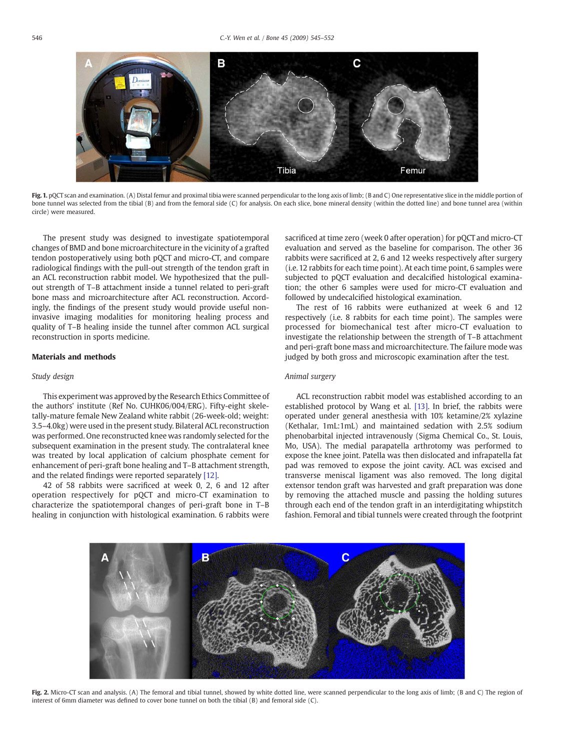<span id="page-1-0"></span>

Fig. 1. pOCT scan and examination. (A) Distal femur and proximal tibia were scanned perpendicular to the long axis of limb; (B and C) One representative slice in the middle portion of bone tunnel was selected from the tibial (B) and from the femoral side (C) for analysis. On each slice, bone mineral density (within the dotted line) and bone tunnel area (within circle) were measured.

The present study was designed to investigate spatiotemporal changes of BMD and bone microarchitecture in the vicinity of a grafted tendon postoperatively using both pQCT and micro-CT, and compare radiological findings with the pull-out strength of the tendon graft in an ACL reconstruction rabbit model. We hypothesized that the pullout strength of T–B attachment inside a tunnel related to peri-graft bone mass and microarchitecture after ACL reconstruction. Accordingly, the findings of the present study would provide useful noninvasive imaging modalities for monitoring healing process and quality of T–B healing inside the tunnel after common ACL surgical reconstruction in sports medicine.

### Materials and methods

# Study design

This experiment was approved by the Research Ethics Committee of the authors' institute (Ref No. CUHK06/004/ERG). Fifty-eight skeletally-mature female New Zealand white rabbit (26-week-old; weight: 3.5–4.0kg) were used in the present study. Bilateral ACL reconstruction was performed. One reconstructed knee was randomly selected for the subsequent examination in the present study. The contralateral knee was treated by local application of calcium phosphate cement for enhancement of peri-graft bone healing and T–B attachment strength, and the related findings were reported separately [\[12\].](http://dx.doi.org/doi:10.1002/jbm.b.31236)

42 of 58 rabbits were sacrificed at week 0, 2, 6 and 12 after operation respectively for pQCT and micro-CT examination to characterize the spatiotemporal changes of peri-graft bone in T–B healing in conjunction with histological examination. 6 rabbits were sacrificed at time zero (week 0 after operation) for pQCT and micro-CT evaluation and served as the baseline for comparison. The other 36 rabbits were sacrificed at 2, 6 and 12 weeks respectively after surgery (i.e. 12 rabbits for each time point). At each time point, 6 samples were subjected to pQCT evaluation and decalcified histological examination; the other 6 samples were used for micro-CT evaluation and followed by undecalcified histological examination.

The rest of 16 rabbits were euthanized at week 6 and 12 respectively (i.e. 8 rabbits for each time point). The samples were processed for biomechanical test after micro-CT evaluation to investigate the relationship between the strength of T–B attachment and peri-graft bone mass and microarchitecture. The failure mode was judged by both gross and microscopic examination after the test.

# Animal surgery

ACL reconstruction rabbit model was established according to an established protocol by Wang et al. [\[13\].](#page-6-0) In brief, the rabbits were operated under general anesthesia with 10% ketamine/2% xylazine (Kethalar, 1mL:1mL) and maintained sedation with 2.5% sodium phenobarbital injected intravenously (Sigma Chemical Co., St. Louis, Mo, USA). The medial parapatella arthrotomy was performed to expose the knee joint. Patella was then dislocated and infrapatella fat pad was removed to expose the joint cavity. ACL was excised and transverse meniscal ligament was also removed. The long digital extensor tendon graft was harvested and graft preparation was done by removing the attached muscle and passing the holding sutures through each end of the tendon graft in an interdigitating whipstitch fashion. Femoral and tibial tunnels were created through the footprint



Fig. 2. Micro-CT scan and analysis. (A) The femoral and tibial tunnel, showed by white dotted line, were scanned perpendicular to the long axis of limb; (B and C) The region of interest of 6mm diameter was defined to cover bone tunnel on both the tibial (B) and femoral side (C).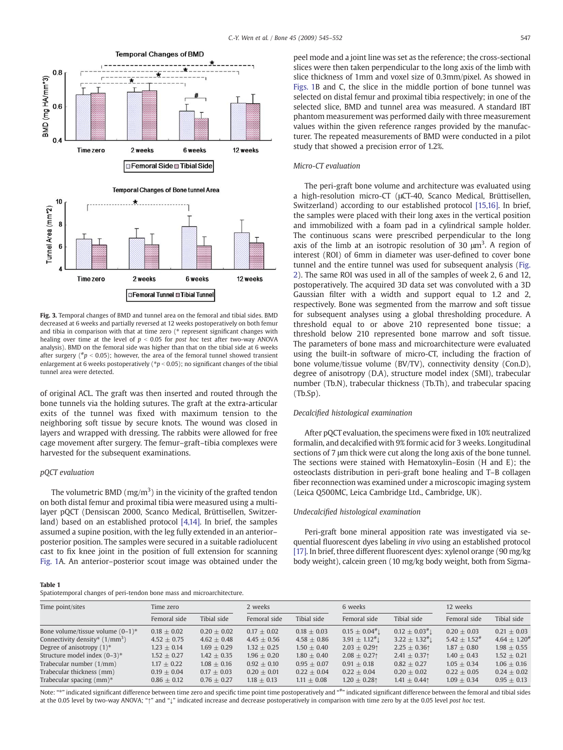<span id="page-2-0"></span>

Fig. 3. Temporal changes of BMD and tunnel area on the femoral and tibial sides. BMD decreased at 6 weeks and partially reversed at 12 weeks postoperatively on both femur and tibia in comparison with that at time zero (\* represent significant changes with healing over time at the level of  $p < 0.05$  for post hoc test after two-way ANOVA analysis). BMD on the femoral side was higher than that on the tibial side at 6 weeks after surgery ( $n_b$  < 0.05); however, the area of the femoral tunnel showed transient enlargement at 6 weeks postoperatively ( $*p < 0.05$ ); no significant changes of the tibial tunnel area were detected.

of original ACL. The graft was then inserted and routed through the bone tunnels via the holding sutures. The graft at the extra-articular exits of the tunnel was fixed with maximum tension to the neighboring soft tissue by secure knots. The wound was closed in layers and wrapped with dressing. The rabbits were allowed for free cage movement after surgery. The femur–graft–tibia complexes were harvested for the subsequent examinations.

### pQCT evaluation

The volumetric BMD (mg/m<sup>3</sup>) in the vicinity of the grafted tendon on both distal femur and proximal tibia were measured using a multilayer pQCT (Densiscan 2000, Scanco Medical, Brüttisellen, Switzerland) based on an established protocol [\[4,14\].](#page-6-0) In brief, the samples assumed a supine position, with the leg fully extended in an anterior– posterior position. The samples were secured in a suitable radiolucent cast to fix knee joint in the position of full extension for scanning [Fig. 1](#page-1-0)A. An anterior–posterior scout image was obtained under the

#### Table 1

Spatiotemporal changes of peri-tendon bone mass and microarchitecture.

peel mode and a joint line was set as the reference; the cross-sectional slices were then taken perpendicular to the long axis of the limb with slice thickness of 1mm and voxel size of 0.3mm/pixel. As showed in [Figs. 1B](#page-1-0) and C, the slice in the middle portion of bone tunnel was selected on distal femur and proximal tibia respectively; in one of the selected slice, BMD and tunnel area was measured. A standard IBT phantom measurement was performed daily with three measurement values within the given reference ranges provided by the manufacturer. The repeated measurements of BMD were conducted in a pilot study that showed a precision error of 1.2%.

#### Micro-CT evaluation

The peri-graft bone volume and architecture was evaluated using a high-resolution micro-CT (μCT-40, Scanco Medical, Brüttisellen, Switzerland) according to our established protocol [\[15,16\]](#page-6-0). In brief, the samples were placed with their long axes in the vertical position and immobilized with a foam pad in a cylindrical sample holder. The continuous scans were prescribed perpendicular to the long axis of the limb at an isotropic resolution of 30  $\mu$ m<sup>3</sup>. A region of interest (ROI) of 6mm in diameter was user-defined to cover bone tunnel and the entire tunnel was used for subsequent analysis [\(Fig.](#page-1-0) [2](#page-1-0)). The same ROI was used in all of the samples of week 2, 6 and 12, postoperatively. The acquired 3D data set was convoluted with a 3D Gaussian filter with a width and support equal to 1.2 and 2, respectively. Bone was segmented from the marrow and soft tissue for subsequent analyses using a global thresholding procedure. A threshold equal to or above 210 represented bone tissue; a threshold below 210 represented bone marrow and soft tissue. The parameters of bone mass and microarchitecture were evaluated using the built-in software of micro-CT, including the fraction of bone volume/tissue volume (BV/TV), connectivity density (Con.D), degree of anisotropy (D.A), structure model index (SMI), trabecular number (Tb.N), trabecular thickness (Tb.Th), and trabecular spacing (Tb.Sp).

#### Decalcified histological examination

After pQCT evaluation, the specimens were fixed in 10% neutralized formalin, and decalcified with 9% formic acid for 3 weeks. Longitudinal sections of 7 μm thick were cut along the long axis of the bone tunnel. The sections were stained with Hematoxylin–Eosin (H and E); the osteoclasts distribution in peri-graft bone healing and T–B collagen fiber reconnection was examined under a microscopic imaging system (Leica Q500MC, Leica Cambridge Ltd., Cambridge, UK).

#### Undecalcified histological examination

Peri-graft bone mineral apposition rate was investigated via sequential fluorescent dyes labeling in vivo using an established protocol [\[17\]](#page-7-0). In brief, three different fluorescent dyes: xylenol orange (90 mg/kg body weight), calcein green (10 mg/kg body weight, both from Sigma-

| Time point/sites                    | Time zero     |               | 2 weeks       |               | 6 weeks                                          |                      | 12 weeks           |                   |
|-------------------------------------|---------------|---------------|---------------|---------------|--------------------------------------------------|----------------------|--------------------|-------------------|
|                                     | Femoral side  | Tibial side   | Femoral side  | Tibial side   | Femoral side                                     | Tibial side          | Femoral side       | Tibial side       |
| Bone volume/tissue volume $(0-1)^*$ | $0.18 + 0.02$ | $0.20 + 0.02$ | $0.17 + 0.02$ | $0.18 + 0.03$ | $0.15 \pm 0.04$ <sup>#</sup>                     | $0.12 \pm 0.03^{\#}$ | $0.20 + 0.03$      | $0.21 + 0.03$     |
| Connectivity density* $(1/mm3)$     | $4.52 + 0.75$ | $4.62 + 0.48$ | $4.45 + 0.56$ | $4.58 + 0.86$ | $3.91 \pm 1.12^{\#}$                             | $3.22 \pm 1.32^{\#}$ | $5.42 + 1.52^{\#}$ | $4.64 + 1.20^{*}$ |
| Degree of anisotropy $(1)^*$        | $1.23 + 0.14$ | $1.69 + 0.29$ | $1.32 + 0.25$ | $1.50 + 0.40$ | $2.03 \pm 0.29$                                  | $2.25 \pm 0.36$      | $1.87 + 0.80$      | $1.98 + 0.55$     |
| Structure model index $(0-3)*$      | $1.52 + 0.27$ | $1.42 + 0.35$ | $1.96 + 0.20$ | $1.80 + 0.40$ | $2.08 \pm 0.27$                                  | $2.41 + 0.37$        | $1.40 + 0.43$      | $1.52 + 0.21$     |
| Trabecular number (1/mm)            | $1.17 + 0.22$ | $1.08 + 0.16$ | $0.92 + 0.10$ | $0.95 + 0.07$ | $0.91 + 0.18$                                    | $0.82 + 0.27$        | $1.05 + 0.34$      | $1.06 + 0.16$     |
| Trabecular thickness (mm)           | $0.19 + 0.04$ | $0.17 + 0.03$ | $0.20 + 0.01$ | $0.22 + 0.04$ | $0.22 + 0.04$                                    | $0.20 + 0.02$        | $0.22 + 0.05$      | $0.24 + 0.02$     |
| Trabecular spacing $(mm)^*$         | $0.86 + 0.12$ | $0.76 + 0.27$ | $1.18 + 0.13$ | $1.11 + 0.08$ | $1.20 \pm 0.28$ <sup><math>\uparrow</math></sup> | $1.41 \pm 0.44$      | $1.09 + 0.34$      | $0.95 + 0.13$     |

Note: "\*" indicated significant difference between time zero and specific time point time postoperatively and "#" indicated significant difference between the femoral and tibial sides at the 0.05 level by two-way ANOVA: "↑" and "<sup>1</sup>" indicated increase and decrease postoperatively in comparison with time zero by at the 0.05 level post hoc test.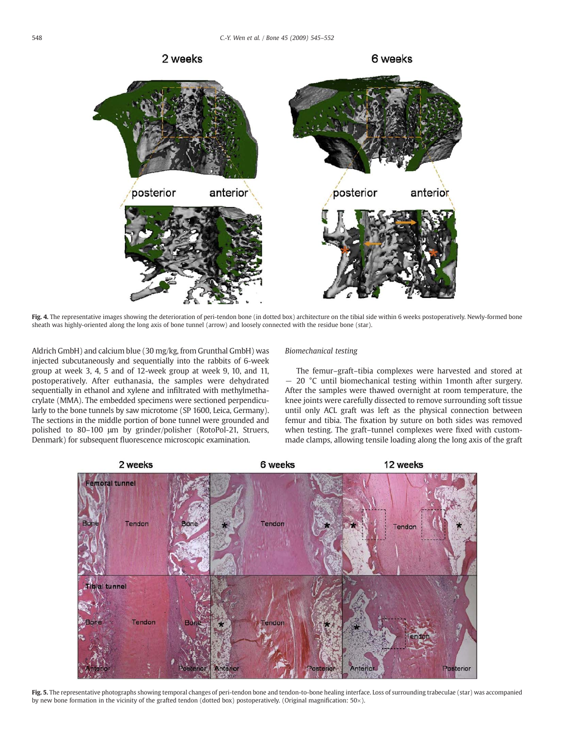<span id="page-3-0"></span>

Fig. 4. The representative images showing the deterioration of peri-tendon bone (in dotted box) architecture on the tibial side within 6 weeks postoperatively. Newly-formed bone sheath was highly-oriented along the long axis of bone tunnel (arrow) and loosely connected with the residue bone (star).

Aldrich GmbH) and calcium blue (30 mg/kg, from Grunthal GmbH) was injected subcutaneously and sequentially into the rabbits of 6-week group at week 3, 4, 5 and of 12-week group at week 9, 10, and 11, postoperatively. After euthanasia, the samples were dehydrated sequentially in ethanol and xylene and infiltrated with methylmethacrylate (MMA). The embedded specimens were sectioned perpendicularly to the bone tunnels by saw microtome (SP 1600, Leica, Germany). The sections in the middle portion of bone tunnel were grounded and polished to 80–100 μm by grinder/polisher (RotoPol-21, Struers, Denmark) for subsequent fluorescence microscopic examination.

#### Biomechanical testing

The femur–graft–tibia complexes were harvested and stored at − 20 °C until biomechanical testing within 1month after surgery. After the samples were thawed overnight at room temperature, the knee joints were carefully dissected to remove surrounding soft tissue until only ACL graft was left as the physical connection between femur and tibia. The fixation by suture on both sides was removed when testing. The graft–tunnel complexes were fixed with custommade clamps, allowing tensile loading along the long axis of the graft



Fig. 5. The representative photographs showing temporal changes of peri-tendon bone and tendon-to-bone healing interface. Loss of surrounding trabeculae (star) was accompanied by new bone formation in the vicinity of the grafted tendon (dotted box) postoperatively. (Original magnification: 50×).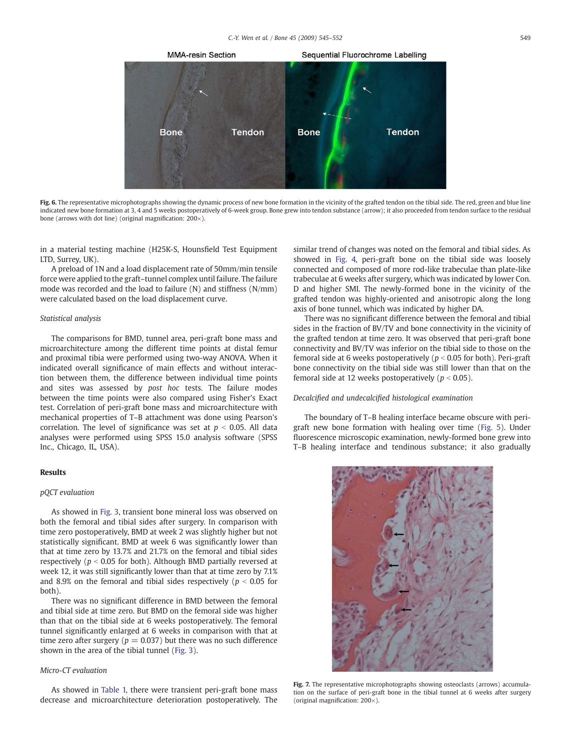<span id="page-4-0"></span>

Fig. 6. The representative microphotographs showing the dynamic process of new bone formation in the vicinity of the grafted tendon on the tibial side. The red, green and blue line indicated new bone formation at 3, 4 and 5 weeks postoperatively of 6-week group. Bone grew into tendon substance (arrow); it also proceeded from tendon surface to the residual bone (arrows with dot line) (original magnification: 200×).

in a material testing machine (H25K-S, Hounsfield Test Equipment LTD, Surrey, UK).

A preload of 1N and a load displacement rate of 50mm/min tensile force were applied to the graft–tunnel complex until failure. The failure mode was recorded and the load to failure (N) and stiffness (N/mm) were calculated based on the load displacement curve.

#### Statistical analysis

The comparisons for BMD, tunnel area, peri-graft bone mass and microarchitecture among the different time points at distal femur and proximal tibia were performed using two-way ANOVA. When it indicated overall significance of main effects and without interaction between them, the difference between individual time points and sites was assessed by post hoc tests. The failure modes between the time points were also compared using Fisher's Exact test. Correlation of peri-graft bone mass and microarchitecture with mechanical properties of T–B attachment was done using Pearson's correlation. The level of significance was set at  $p < 0.05$ . All data analyses were performed using SPSS 15.0 analysis software (SPSS Inc., Chicago, IL, USA).

# Results

# pQCT evaluation

As showed in [Fig. 3,](#page-2-0) transient bone mineral loss was observed on both the femoral and tibial sides after surgery. In comparison with time zero postoperatively, BMD at week 2 was slightly higher but not statistically significant. BMD at week 6 was significantly lower than that at time zero by 13.7% and 21.7% on the femoral and tibial sides respectively ( $p < 0.05$  for both). Although BMD partially reversed at week 12, it was still significantly lower than that at time zero by 7.1% and 8.9% on the femoral and tibial sides respectively ( $p < 0.05$  for both).

There was no significant difference in BMD between the femoral and tibial side at time zero. But BMD on the femoral side was higher than that on the tibial side at 6 weeks postoperatively. The femoral tunnel significantly enlarged at 6 weeks in comparison with that at time zero after surgery ( $p = 0.037$ ) but there was no such difference shown in the area of the tibial tunnel ([Fig. 3](#page-2-0)).

#### Micro-CT evaluation

As showed in [Table 1,](#page-2-0) there were transient peri-graft bone mass decrease and microarchitecture deterioration postoperatively. The similar trend of changes was noted on the femoral and tibial sides. As showed in [Fig. 4](#page-3-0), peri-graft bone on the tibial side was loosely connected and composed of more rod-like trabeculae than plate-like trabeculae at 6 weeks after surgery, which was indicated by lower Con. D and higher SMI. The newly-formed bone in the vicinity of the grafted tendon was highly-oriented and anisotropic along the long axis of bone tunnel, which was indicated by higher DA.

There was no significant difference between the femoral and tibial sides in the fraction of BV/TV and bone connectivity in the vicinity of the grafted tendon at time zero. It was observed that peri-graft bone connectivity and BV/TV was inferior on the tibial side to those on the femoral side at 6 weeks postoperatively ( $p < 0.05$  for both). Peri-graft bone connectivity on the tibial side was still lower than that on the femoral side at 12 weeks postoperatively ( $p < 0.05$ ).

# Decalcified and undecalcified histological examination

The boundary of T–B healing interface became obscure with perigraft new bone formation with healing over time ([Fig. 5\)](#page-3-0). Under fluorescence microscopic examination, newly-formed bone grew into T–B healing interface and tendinous substance; it also gradually



Fig. 7. The representative microphotographs showing osteoclasts (arrows) accumulation on the surface of peri-graft bone in the tibial tunnel at 6 weeks after surgery (original magnification:  $200\times$ ).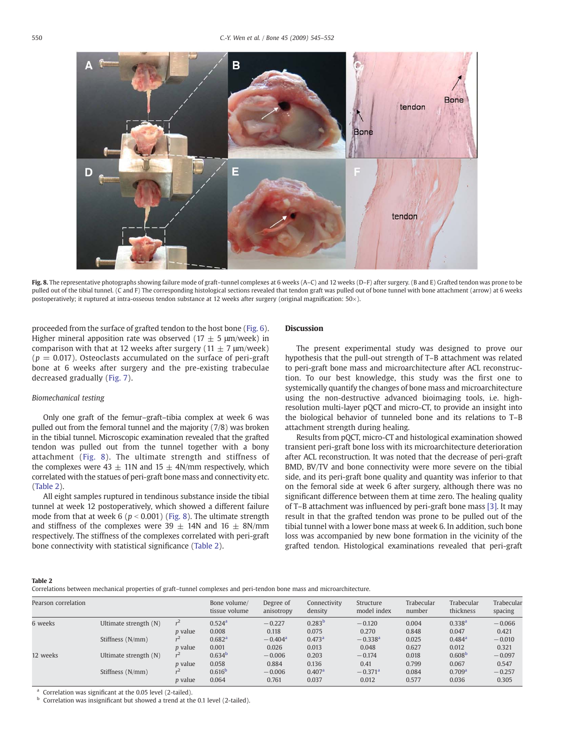

Fig. 8. The representative photographs showing failure mode of graft-tunnel complexes at 6 weeks (A-C) and 12 weeks (D-F) after surgery. (B and E) Grafted tendon was prone to be pulled out of the tibial tunnel. (C and F) The corresponding histological sections revealed that tendon graft was pulled out of bone tunnel with bone attachment (arrow) at 6 weeks postoperatively; it ruptured at intra-osseous tendon substance at 12 weeks after surgery (original magnification: 50×).

proceeded from the surface of grafted tendon to the host bone ([Fig. 6](#page-4-0)). Higher mineral apposition rate was observed (17  $\pm$  5  $\mu$ m/week) in comparison with that at 12 weeks after surgery (11  $\pm$  7  $\mu$ m/week)  $(p = 0.017)$ . Osteoclasts accumulated on the surface of peri-graft bone at 6 weeks after surgery and the pre-existing trabeculae decreased gradually ([Fig. 7](#page-4-0)).

# Biomechanical testing

Only one graft of the femur–graft–tibia complex at week 6 was pulled out from the femoral tunnel and the majority (7/8) was broken in the tibial tunnel. Microscopic examination revealed that the grafted tendon was pulled out from the tunnel together with a bony attachment (Fig. 8). The ultimate strength and stiffness of the complexes were 43  $\pm$  11N and 15  $\pm$  4N/mm respectively, which correlated with the statues of peri-graft bone mass and connectivity etc. (Table 2).

All eight samples ruptured in tendinous substance inside the tibial tunnel at week 12 postoperatively, which showed a different failure mode from that at week 6 ( $p < 0.001$ ) (Fig. 8). The ultimate strength and stiffness of the complexes were 39  $\pm$  14N and 16  $\pm$  8N/mm respectively. The stiffness of the complexes correlated with peri-graft bone connectivity with statistical significance (Table 2).

# Discussion

The present experimental study was designed to prove our hypothesis that the pull-out strength of T–B attachment was related to peri-graft bone mass and microarchitecture after ACL reconstruction. To our best knowledge, this study was the first one to systemically quantify the changes of bone mass and microarchitecture using the non-destructive advanced bioimaging tools, i.e. highresolution multi-layer pQCT and micro-CT, to provide an insight into the biological behavior of tunneled bone and its relations to T–B attachment strength during healing.

Results from pQCT, micro-CT and histological examination showed transient peri-graft bone loss with its microarchitecture deterioration after ACL reconstruction. It was noted that the decrease of peri-graft BMD, BV/TV and bone connectivity were more severe on the tibial side, and its peri-graft bone quality and quantity was inferior to that on the femoral side at week 6 after surgery, although there was no significant difference between them at time zero. The healing quality of T–B attachment was influenced by peri-graft bone mass [\[3\].](#page-6-0) It may result in that the grafted tendon was prone to be pulled out of the tibial tunnel with a lower bone mass at week 6. In addition, such bone loss was accompanied by new bone formation in the vicinity of the grafted tendon. Histological examinations revealed that peri-graft

#### Table 2

Correlations between mechanical properties of graft–tunnel complexes and peri-tendon bone mass and microarchitecture.

| Pearson correlation |                       |                | Bone volume/<br>tissue volume | Degree of<br>anisotropy | Connectivity<br>density | Structure<br>model index | Trabecular<br>number | Trabecular<br>thickness | Trabecular<br>spacing |
|---------------------|-----------------------|----------------|-------------------------------|-------------------------|-------------------------|--------------------------|----------------------|-------------------------|-----------------------|
| 6 weeks             | Ultimate strength (N) |                | $0.524$ <sup>a</sup>          | $-0.227$                | $0.283^{b}$             | $-0.120$                 | 0.004                | 0.338 <sup>a</sup>      | $-0.066$              |
|                     |                       | <i>p</i> value | 0.008                         | 0.118                   | 0.075                   | 0.270                    | 0.848                | 0.047                   | 0.421                 |
|                     | Stiffness (N/mm)      |                | 0.682 <sup>a</sup>            | $-0.404$ <sup>a</sup>   | 0.473 <sup>a</sup>      | $-0.338$ <sup>a</sup>    | 0.025                | $0.484$ <sup>a</sup>    | $-0.010$              |
|                     |                       | <i>p</i> value | 0.001                         | 0.026                   | 0.013                   | 0.048                    | 0.627                | 0.012                   | 0.321                 |
| 12 weeks            | Ultimate strength (N) | r <sup>2</sup> | 0.634 <sup>b</sup>            | $-0.006$                | 0.203                   | $-0.174$                 | 0.018                | 0.608 <sup>b</sup>      | $-0.097$              |
|                     |                       | <i>p</i> value | 0.058                         | 0.884                   | 0.136                   | 0.41                     | 0.799                | 0.067                   | 0.547                 |
|                     | Stiffness (N/mm)      |                | $0.616^{b}$                   | $-0.006$                | 0.407 <sup>a</sup>      | $-0.371$ <sup>a</sup>    | 0.084                | 0.709 <sup>a</sup>      | $-0.257$              |
|                     |                       | <i>p</i> value | 0.064                         | 0.761                   | 0.037                   | 0.012                    | 0.577                | 0.036                   | 0.305                 |

Correlation was significant at the 0.05 level (2-tailed).

Correlation was insignificant but showed a trend at the 0.1 level (2-tailed).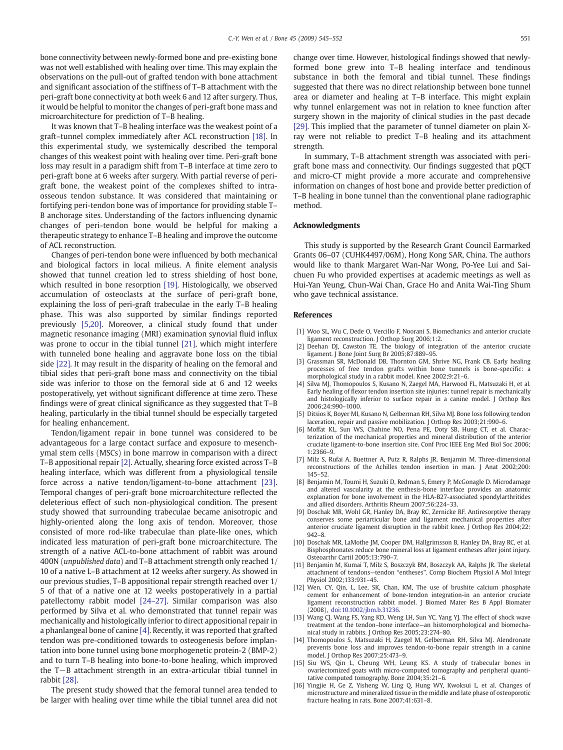<span id="page-6-0"></span>bone connectivity between newly-formed bone and pre-existing bone was not well established with healing over time. This may explain the observations on the pull-out of grafted tendon with bone attachment and significant association of the stiffness of T–B attachment with the peri-graft bone connectivity at both week 6 and 12 after surgery. Thus, it would be helpful to monitor the changes of peri-graft bone mass and microarchitecture for prediction of T–B healing.

It was known that T–B healing interface was the weakest point of a graft–tunnel complex immediately after ACL reconstruction [\[18\]](#page-7-0). In this experimental study, we systemically described the temporal changes of this weakest point with healing over time. Peri-graft bone loss may result in a paradigm shift from T–B interface at time zero to peri-graft bone at 6 weeks after surgery. With partial reverse of perigraft bone, the weakest point of the complexes shifted to intraosseous tendon substance. It was considered that maintaining or fortifying peri-tendon bone was of importance for providing stable T– B anchorage sites. Understanding of the factors influencing dynamic changes of peri-tendon bone would be helpful for making a therapeutic strategy to enhance T–B healing and improve the outcome of ACL reconstruction.

Changes of peri-tendon bone were influenced by both mechanical and biological factors in local milieus. A finite element analysis showed that tunnel creation led to stress shielding of host bone, which resulted in bone resorption [\[19\].](#page-7-0) Histologically, we observed accumulation of osteoclasts at the surface of peri-graft bone, explaining the loss of peri-graft trabeculae in the early T–B healing phase. This was also supported by similar findings reported previously [5,20]. Moreover, a clinical study found that under magnetic resonance imaging (MRI) examination synovial fluid influx was prone to occur in the tibial tunnel [\[21\],](#page-7-0) which might interfere with tunneled bone healing and aggravate bone loss on the tibial side [\[22\]](#page-7-0). It may result in the disparity of healing on the femoral and tibial sides that peri-graft bone mass and connectivity on the tibial side was inferior to those on the femoral side at 6 and 12 weeks postoperatively, yet without significant difference at time zero. These findings were of great clinical significance as they suggested that T–B healing, particularly in the tibial tunnel should be especially targeted for healing enhancement.

Tendon/ligament repair in bone tunnel was considered to be advantageous for a large contact surface and exposure to mesenchymal stem cells (MSCs) in bone marrow in comparison with a direct T–B appositional repair [2]. Actually, shearing force existed across T–B healing interface, which was different from a physiological tensile force across a native tendon/ligament-to-bone attachment [\[23\].](#page-7-0) Temporal changes of peri-graft bone microarchitecture reflected the deleterious effect of such non-physiological condition. The present study showed that surrounding trabeculae became anisotropic and highly-oriented along the long axis of tendon. Moreover, those consisted of more rod-like trabeculae than plate-like ones, which indicated less maturation of peri-graft bone microarchitecture. The strength of a native ACL-to-bone attachment of rabbit was around 400N (unpublished data) and T–B attachment strength only reached 1/ 10 of a native L–B attachment at 12 weeks after surgery. As showed in our previous studies, T–B appositional repair strength reached over 1/ 5 of that of a native one at 12 weeks postoperatively in a partial patellectomy rabbit model [\[24](#page-7-0)–27]. Similar comparison was also performed by Silva et al. who demonstrated that tunnel repair was mechanically and histologically inferior to direct appositional repair in a phanlangeal bone of canine [4]. Recently, it was reported that grafted tendon was pre-conditioned towards to osteogenesis before implantation into bone tunnel using bone morphogenetic protein-2 (BMP-2) and to turn T–B healing into bone-to-bone healing, which improved the T−B attachment strength in an extra-articular tibial tunnel in rabbit [\[28\]](#page-7-0).

The present study showed that the femoral tunnel area tended to be larger with healing over time while the tibial tunnel area did not change over time. However, histological findings showed that newlyformed bone grew into T–B healing interface and tendinous substance in both the femoral and tibial tunnel. These findings suggested that there was no direct relationship between bone tunnel area or diameter and healing at T–B interface. This might explain why tunnel enlargement was not in relation to knee function after surgery shown in the majority of clinical studies in the past decade [\[29\]](#page-7-0). This implied that the parameter of tunnel diameter on plain Xray were not reliable to predict T–B healing and its attachment strength.

In summary, T–B attachment strength was associated with perigraft bone mass and connectivity. Our findings suggested that pQCT and micro-CT might provide a more accurate and comprehensive information on changes of host bone and provide better prediction of T–B healing in bone tunnel than the conventional plane radiographic method.

#### Acknowledgments

This study is supported by the Research Grant Council Earmarked Grants 06–07 (CUHK4497/06M), Hong Kong SAR, China. The authors would like to thank Margaret Wan-Nar Wong, Po-Yee Lui and Saichuen Fu who provided expertises at academic meetings as well as Hui-Yan Yeung, Chun-Wai Chan, Grace Ho and Anita Wai-Ting Shum who gave technical assistance.

#### References

- [1] Woo SL, Wu C, Dede O, Vercillo F, Noorani S. Biomechanics and anterior cruciate ligament reconstruction. J Orthop Surg 2006;1:2.
- [2] Deehan DJ, Cawston TE. The biology of integration of the anterior cruciate ligament. J Bone Joint Surg Br 2005;87:889–95.
- [3] Grassman SR, McDonald DB, Thornton GM, Shrive NG, Frank CB. Early healing processes of free tendon grafts within bone tunnels is bone-specific: a morphological study in a rabbit model. Knee 2002;9:21–6.
- [4] Silva MJ, Thomopoulos S, Kusano N, Zaegel MA, Harwood FL, Matsuzaki H, et al. Early healing of flexor tendon insertion site injuries: tunnel repair is mechanically and histologically inferior to surface repair in a canine model. J Orthop Res 2006;24:990–1000.
- [5] Ditsios K, Boyer MI, Kusano N, Gelberman RH, Silva MJ. Bone loss following tendon laceration, repair and passive mobilization. J Orthop Res 2003;21:990–6.
- [6] Moffat KL, Sun WS, Chahine NO, Pena PE, Doty SB, Hung CT, et al. Characterization of the mechanical properties and mineral distribution of the anterior cruciate ligament-to-bone insertion site. Conf Proc IEEE Eng Med Biol Soc 2006; 1:2366–9.
- [7] Milz S, Rufai A, Buettner A, Putz R, Ralphs JR, Benjamin M. Three-dimensional reconstructions of the Achilles tendon insertion in man. J Anat 2002;200: 145–52.
- [8] Benjamin M, Toumi H, Suzuki D, Redman S, Emery P, McGonagle D. Microdamage and altered vascularity at the enthesis-bone interface provides an anatomic explanation for bone involvement in the HLA-B27-associated spondylarthritides and allied disorders. Arthritis Rheum 2007;56:224–33.
- [9] Doschak MR, Wohl GR, Hanley DA, Bray RC, Zernicke RF. Antiresorptive therapy conserves some periarticular bone and ligament mechanical properties after anterior cruciate ligament disruption in the rabbit knee. J Orthop Res 2004;22: 942–8.
- [10] Doschak MR, LaMothe JM, Cooper DM, Hallgrimsson B, Hanley DA, Bray RC, et al. Bisphosphonates reduce bone mineral loss at ligament entheses after joint injury. Osteoarthr Cartil 2005;13:790–7.
- [11] Benjamin M, Kumai T, Milz S, Boszczyk BM, Boszczyk AA, Ralphs JR. The skeletal attachment of tendons—tendon "entheses". Comp Biochem Physiol A Mol Integr Physiol 2002;133:931–45.
- [12] Wen, CY, Qin, L, Lee, SK, Chan, KM, The use of brushite calcium phosphate cement for enhancement of bone-tendon integration-in an anterior cruciate ligament reconstruction rabbit model. J Biomed Mater Res B Appl Biomater (2008), doi:10.1002/jbm.b.31236.
- [13] Wang CJ, Wang FS, Yang KD, Weng LH, Sun YC, Yang YJ. The effect of shock wave treatment at the tendon–bone interface—an histomorphological and biomechanical study in rabbits. J Orthop Res 2005;23:274–80.
- [14] Thomopoulos S, Matsuzaki H, Zaegel M, Gelberman RH, Silva MJ, Alendronate prevents bone loss and improves tendon-to-bone repair strength in a canine model. J Orthop Res 2007;25:473–9.
- [15] Siu WS, Qin L, Cheung WH, Leung KS. A study of trabecular bones in ovariectomized goats with micro-computed tomography and peripheral quantitative computed tomography. Bone 2004;35:21–6.
- [16] Yingjie H, Ge Z, Yisheng W, Ling Q, Hung WY, Kwoksui L, et al. Changes of microstructure and mineralized tissue in the middle and late phase of osteoporotic fracture healing in rats. Bone 2007;41:631–8.